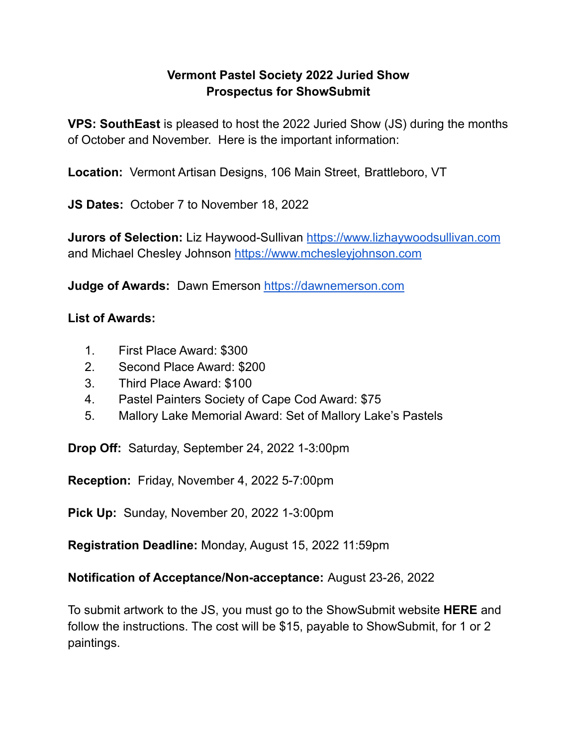## **Vermont Pastel Society 2022 Juried Show Prospectus for ShowSubmit**

**VPS: SouthEast** is pleased to host the 2022 Juried Show (JS) during the months of October and November. Here is the important information:

**Location:** Vermont Artisan Designs, 106 Main Street, Brattleboro, VT

**JS Dates:** October 7 to November 18, 2022

**Jurors of Selection:** Liz Haywood-Sullivan <https://www.lizhaywoodsullivan.com> and Michael Chesley Johnson <https://www.mchesleyjohnson.com>

**Judge of Awards:** Dawn Emerson <https://dawnemerson.com>

## **List of Awards:**

- 1. First Place Award: \$300
- 2. Second Place Award: \$200
- 3. Third Place Award: \$100
- 4. Pastel Painters Society of Cape Cod Award: \$75
- 5. Mallory Lake Memorial Award: Set of Mallory Lake's Pastels

**Drop Off:** Saturday, September 24, 2022 1-3:00pm

**Reception:** Friday, November 4, 2022 5-7:00pm

**Pick Up:** Sunday, November 20, 2022 1-3:00pm

**Registration Deadline:** Monday, August 15, 2022 11:59pm

**Notification of Acceptance/Non-acceptance:** August 23-26, 2022

To submit artwork to the JS, you must go to the ShowSubmit website **HERE** and follow the instructions. The cost will be \$15, payable to ShowSubmit, for 1 or 2 paintings.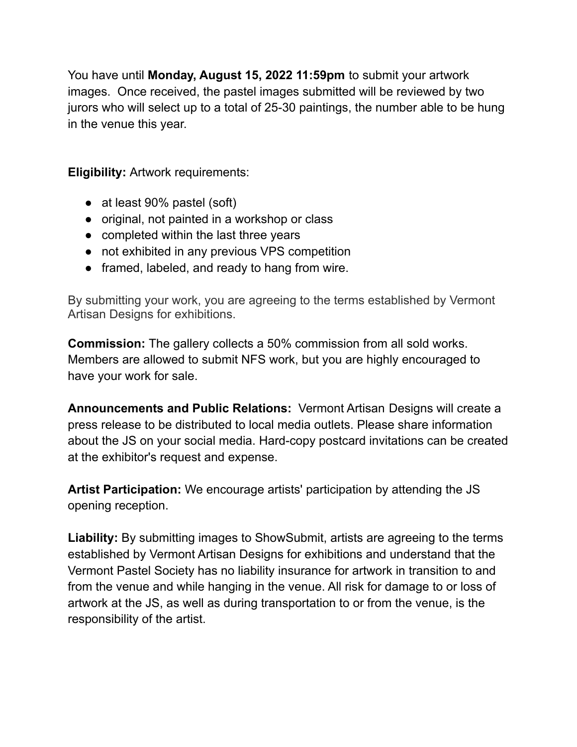You have until **Monday, August 15, 2022 11:59pm** to submit your artwork images. Once received, the pastel images submitted will be reviewed by two jurors who will select up to a total of 25-30 paintings, the number able to be hung in the venue this year.

**Eligibility:** Artwork requirements:

- at least 90% pastel (soft)
- original, not painted in a workshop or class
- completed within the last three years
- not exhibited in any previous VPS competition
- framed, labeled, and ready to hang from wire.

By submitting your work, you are agreeing to the terms established by Vermont Artisan Designs for exhibitions.

**Commission:** The gallery collects a 50% commission from all sold works. Members are allowed to submit NFS work, but you are highly encouraged to have your work for sale.

**Announcements and Public Relations:** Vermont Artisan Designs will create a press release to be distributed to local media outlets. Please share information about the JS on your social media. Hard-copy postcard invitations can be created at the exhibitor's request and expense.

**Artist Participation:** We encourage artists' participation by attending the JS opening reception.

**Liability:** By submitting images to ShowSubmit, artists are agreeing to the terms established by Vermont Artisan Designs for exhibitions and understand that the Vermont Pastel Society has no liability insurance for artwork in transition to and from the venue and while hanging in the venue. All risk for damage to or loss of artwork at the JS, as well as during transportation to or from the venue, is the responsibility of the artist.